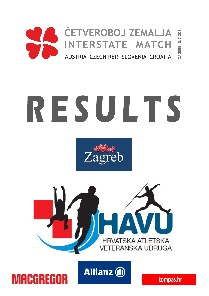

# RESULTS







**MACGREGOR** 

kompas.hr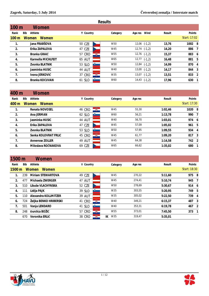| <b>Results</b>   |              |                                                                                                                                                                   |    |           |         |      |                                                                                                                                                              |  |                                                                                                 |  |
|------------------|--------------|-------------------------------------------------------------------------------------------------------------------------------------------------------------------|----|-----------|---------|------|--------------------------------------------------------------------------------------------------------------------------------------------------------------|--|-------------------------------------------------------------------------------------------------|--|
| 100 <sub>m</sub> |              |                                                                                                                                                                   |    |           |         |      |                                                                                                                                                              |  |                                                                                                 |  |
| Bib              |              |                                                                                                                                                                   |    | Category  | Age res | Wind | Result                                                                                                                                                       |  |                                                                                                 |  |
| <b>Women</b>     | <b>Women</b> |                                                                                                                                                                   |    |           |         |      |                                                                                                                                                              |  |                                                                                                 |  |
|                  |              | 50 CZE                                                                                                                                                            |    | W50       |         |      | 13,76                                                                                                                                                        |  |                                                                                                 |  |
|                  |              | 47 CZE                                                                                                                                                            |    | W45       |         |      | 14,20                                                                                                                                                        |  |                                                                                                 |  |
|                  |              | 57 CRO                                                                                                                                                            | G. | W55       |         |      | 15,37                                                                                                                                                        |  |                                                                                                 |  |
|                  |              | <b>65 AUT</b>                                                                                                                                                     |    | W65       |         |      | 16,48                                                                                                                                                        |  |                                                                                                 |  |
|                  |              | 53 SLO                                                                                                                                                            |    | W50       |         |      | 14,99                                                                                                                                                        |  |                                                                                                 |  |
|                  |              | <b>44 AUT</b>                                                                                                                                                     |    | W40       |         |      | 14,17                                                                                                                                                        |  |                                                                                                 |  |
|                  |              | 37 CRO                                                                                                                                                            | ÷. | W35       |         |      | 13,51                                                                                                                                                        |  |                                                                                                 |  |
|                  |              | 61 SLO                                                                                                                                                            |    | W60       |         |      | 17,96                                                                                                                                                        |  |                                                                                                 |  |
|                  |              | Women<br>Athlete<br>Jana FRABŠOVA<br>Erika ZAPALOVA<br>Branka GRAIĆ<br>Karmella MICHLFEIT<br>Zvonka BLATNIK<br>Jasminka HUSIC<br>Ivona JERKOVIĆ<br>Branka KOCUVAN |    | Y Country |         |      | $12,06$ $(-1,2)$<br>$12,74$ $(-1,2)$<br>$12,76$ $(-1,2)$<br>$12,77$ $(-1,2)$<br>$12,84$ $(-1,2)$<br>$13,00$ $(-1,2)$<br>$13,07$ $(-1,2)$<br>$14,43$ $(-1,2)$ |  | Points<br>Start: 17:02<br>1002 8<br>886 7<br>883 6<br>881 5<br>870 4<br>844 3<br>833 2<br>630 1 |  |

| 400 m           |                | Women                |               |           |         |         |               |
|-----------------|----------------|----------------------|---------------|-----------|---------|---------|---------------|
| Rank            | Bib<br>Athlete |                      | Y Country     | Category  | Age res | Result  | <b>Points</b> |
| $400 \text{ m}$ | <b>Women</b>   | Women                |               |           |         |         | Start: 17:30  |
| $\mathbf{1}$ .  |                | Renata NOVOSEL       | <b>46 CRO</b> | Ş.<br>W45 | 55,30   | 1:02,46 | 1020 8        |
| 2.              |                | Ana JERMAN           | 62 SLO        | W60       | 56,21   | 1:13,78 | 990 7         |
| 3.              |                | Jasminka HUSIC       | <b>44 AUT</b> | W40       | 56,70   | 1:03,01 | 974 6         |
| 4.              |                | Erika ZAPALOVA       | 47 CZE        | W45       | 57,09   | 1:05,02 | 961 5         |
| 5.              |                | Zvonka BLATNIK       | 53 SLO        | W50       | 57,95   | 1:09,55 | 934 4         |
| 6.              |                | Senka KOLOVRAT FRLIĆ | 45 CRO        | ÷<br>W45  | 61,77   | 1:09.20 | 817 3         |
| 7.              |                | Annerose ZOLLER      | <b>49 AUT</b> | W45       | 64,38   | 1:14,58 | 742 2         |
| 8.              |                | Miloslava ROČNAKOVA  | 69 CZE        | W65       | 66,62   | 1:35.02 | 680           |

| 1500 m              |     | Women                        |               |           |           |                     |         |              |
|---------------------|-----|------------------------------|---------------|-----------|-----------|---------------------|---------|--------------|
| Rank                | Bib | Athlete                      | Y Country     |           |           | Age res<br>Category | Result  | Points       |
| $1500 \,\mathrm{m}$ |     | <b>Women</b><br><b>Women</b> |               |           |           |                     |         | Start: 18:30 |
|                     | 239 | <b>Miriam STEWARTOVA</b>     | 49 CZE        |           | W45       | 270.22              | 5:11,60 | 975 8        |
| 2.                  | 477 | Michaela ZWERGER             | 47 AUT        |           | W45       | 274,41              | 5:10,74 | 945 7        |
| 3.                  | 510 | Libuše VLACHYNSKA            | 52 CZE        |           | W50       | 278.69              | 5:30,67 | 914 6        |
| 4.                  | 111 | Lidija PAJK                  | 39 SLO        |           | W35       | 303,55              | 5:20,95 | 749 5        |
| 5.                  | 110 | Alexandra KOLLMITZER         | <b>39 AUT</b> |           | W35       | 305,02              | 5:22,50 | 739 4        |
| 6.                  | 724 | Željka BENKO HRIBERSKI       | 41 CRO        | 鑬         | W40       | 349,21              | 6:15.37 | 487 3        |
| 7.                  | 501 | Vanja LENDARO                | 41 SLO        | $\bullet$ | W40       | 353,31              | 6:19,78 | 467 2        |
| 8.                  | 248 | Durdica BOŽIĆ                | 57 CRO        | Q.        | W55       | 373.01              | 7:45,50 | 373 1        |
|                     | 670 | Veronika ERLIĆ               | 38 CRO        | 鑬         | IK<br>W35 | 319,47              | 5:35,01 |              |



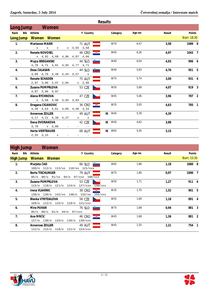|                |                                         |                        | Results   |         |        |              |
|----------------|-----------------------------------------|------------------------|-----------|---------|--------|--------------|
|                | Long Jump Women                         |                        |           |         |        |              |
| Rank           | Bib Athlete                             | Y Country              | Category  | Age res | Result | Points       |
|                | Long Jump Women Women                   |                        |           |         |        | Start: 18:30 |
| $\mathbf{1}$ . | <b>Marianne MAIER</b>                   | <b>71 AUT</b>          | W70       | 6,47    | 3,58   | 1089 8       |
|                | $\mathbf{x}$<br>$\mathbf x = \mathbf x$ | x 3,55 3,58            |           |         |        |              |
| 2.             | Renata NOVOSEL                          | $\mathbb{R}$<br>46 CRO | W45       | 6,26    | 4,97   | 1043 7       |
|                | x 4,92 4,89 4,96 4,97 4,66              |                        |           |         |        |              |
| 3.             | Mojca BREGANSKI                         | 44 SLO <b>P</b>        | W40       | 6,04    | 4.93   | 996 6        |
|                | 4,70 4,71 4,81 4,93 4,77 4,71           |                        |           |         |        |              |
| 4.             | Desa ČALASAN                            | 44 SLO                 | W40       | 5,83    | 4,76   | 951 5        |
|                | 4,60 4,76 4,48 4,44 3,57                | $\mathbf{x}$           |           |         |        |              |
| 5 <sub>1</sub> | <b>Renate SCHADEN</b>                   | <b>75 AUT</b>          | W75       | 5,74    | 3,00   | 931 4        |
|                | 2,97 3,00 2,97 2,84                     | x 2,96                 |           |         |        |              |
| 6.             | Zuzana PUMPRLOVA                        | 53 CZE                 | W50       | 5,68    | 4,07   | 919 3        |
|                | 4,07 3,96 3,97                          |                        |           |         |        |              |
| 7.             | Alena RYCHNOVA                          | 47 CZE                 | W45       | 5,06    | 3.96   | 787 2        |
|                | x 3,68 3,96 3,93 3,83                   |                        |           |         |        |              |
| 8.             | Dragana CIGANOVIĆ                       | 36 CRO                 | W35       | 5,05    | 4,63   | 785 1        |
|                | 4,49 4,63 4,61 4,60 4,48 3,34           |                        |           |         |        |              |
|                | Annerose ZOLLER                         | <b>49 AUT</b>          | W45<br>IK | 5,78    | 4,39   |              |
|                | 4, 17 4, 21 4, 39 4, 27                 | $\mathbf x$<br>x       |           |         |        |              |
|                | Dana DVORAKOVA                          | 42 CZE                 | IK W40    | 4,62    | 3,88   |              |
|                | 3,78 x 3,88                             |                        |           |         |        |              |
|                | <b>Herta VIERTBAUER</b>                 | <b>68 AUT</b>          | W65<br>IK | 5,45    | 3,15   |              |
|                | $2,55$ $3,15$ x                         |                        |           |         |        |              |

#### **High Jump Women**

|                | .   |                                     |                                |          |         |        |              |
|----------------|-----|-------------------------------------|--------------------------------|----------|---------|--------|--------------|
| Rank           | Bib | Athlete                             | Y Country                      | Category | Age res | Result | Points       |
|                |     | High Jump Women Women               |                                |          |         |        | Start: 15:30 |
| $\mathbf{1}$ . |     | Marjeta ČAD                         | 66 SLO $\Box$                  | W65      | 1,86    | 1,18   | 1060 8       |
|                |     | 109/o 112/o 115/xo 118/xo 121/xxx   |                                |          |         |        |              |
| 2.             |     | <b>Berta TISCHLINGER</b>            | <b>79 AUT</b>                  | W75      | 1,80    | 0,97   | 1000 7       |
|                |     | 85/o 88/o 91/xo 94/o 97/xxo 100/xxx |                                |          |         |        |              |
| 3.             |     | Zuzana PUMPRLOVA                    | 53 CZE                         | W50      | 1,71    | 1,27   | 911 6        |
|                |     | 115/o 118/o 121/o 124/o             | 127/xxo<br>130/xxx             |          |         |        |              |
| 4.             |     | Irena VLAHINIĆ                      | 屬<br>38 CRO                    | W35      | 1,70    | 1,52   | 901 5        |
|                |     | 130/o 136/o 142/xo 148/o            | 152/xo<br>155/xxx              |          |         |        |              |
| 5.             |     | Blanka VYKYDALOVA                   | 58 CZE                         | W55      | 1,69    | 1,18   | 891 4        |
|                |     | 109/o 112/o 115/o 118/o             | 121/xxx                        |          |         |        |              |
| 6.             |     | Mira PUHAR                          | <b>Syries</b><br>76 SLO        | W75      | 1,68    | 0,94   | 881 3        |
|                |     | 85/o 88/o 91/o 94/o 97/xxx          |                                |          |         |        |              |
| 7 <sub>1</sub> |     | Ana MRČIĆ                           | $\Rightarrow$<br><b>46 CRO</b> | W45      | 1,68    | 1,36   | 881 2        |
|                |     | $127/c$ $130/c$<br>133/o 136/o      | 139/xxx                        |          |         |        |              |
| 8.             |     | Annerose ZOLLER                     | 49 AUT                         | W45      | 1,55    | 1,21   | 754 1        |
|                |     | 112/o 115/o 118/o 121/o             | $124$ /xxx                     |          |         |        |              |
|                |     |                                     |                                |          |         |        |              |



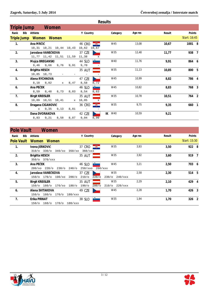|                | Results                              |                                   |           |         |        |              |  |  |  |  |  |  |
|----------------|--------------------------------------|-----------------------------------|-----------|---------|--------|--------------|--|--|--|--|--|--|
|                | Women<br>Triple Jump                 |                                   |           |         |        |              |  |  |  |  |  |  |
| Rank           | Bib Athlete                          | Y Country                         | Category  | Age res | Result | Points       |  |  |  |  |  |  |
|                | Triple Jump Women Women              |                                   |           |         |        | Start: 16:45 |  |  |  |  |  |  |
| $\mathbf{1}$ . | Ana MRČIĆ                            | $-\frac{1}{2}$<br><b>46 CRO</b>   | W45       | 13,08   | 10,67  | 1001 8       |  |  |  |  |  |  |
|                | $10, 31$ $10, 21$ $10, 44$ $10, 43$  | 10,62<br>10,67                    |           |         |        |              |  |  |  |  |  |  |
| 2.             | Jaroslava VANEČKOVA                  | 37 CZE                            | W35       | 12,48   | 11,77  | 938 7        |  |  |  |  |  |  |
|                | 11,77 11,42 11,51 11,59              | 11,38<br>$\mathbf{x}$             |           |         |        |              |  |  |  |  |  |  |
| 3.             | Mojca BREGANSKI                      | 44 SLO                            | W40       | 11,76   | 9,91   | 864 6        |  |  |  |  |  |  |
|                | $9,46$ 9,66<br>9,76<br>9,91          | 9,70                              |           |         |        |              |  |  |  |  |  |  |
| 4.             | Brigitta HESCH                       | 35 AUT                            | W35       | 11, 13  | 10,85  | 800 5        |  |  |  |  |  |  |
|                | 10,85 10,73                          |                                   |           |         |        |              |  |  |  |  |  |  |
| 5.             | Alena RYCHNOVA                       | 47 CZE                            | W45       | 10,99   | 8,82   | 786 4        |  |  |  |  |  |  |
|                | 8,18 8,82<br>8,47<br>$\mathbf x$     | 8,58<br>8,72                      |           |         |        |              |  |  |  |  |  |  |
| 6.             | Ana PEČEK                            | $\bullet$ and $\bullet$<br>46 SLO | W45       | 10,82   | 8,83   | 768 3        |  |  |  |  |  |  |
|                | 8,59<br>8,48<br>8,73<br>8,83         | 8,54<br>8,63                      |           |         |        |              |  |  |  |  |  |  |
| 7.             | <b>Birgit KREISLER</b>               | 35 AUT                            | W35       | 10,78   | 10,51  | 764 2        |  |  |  |  |  |  |
|                | 10,09 10,51 10,41<br>$\mathbf x$     | 10,05<br>$\mathbf x$              |           |         |        |              |  |  |  |  |  |  |
| 8.             | Dragana CIGANOVIĆ                    | $\mathscr{R}$<br>36 CRO           | W35       | 9,75    | 9,35   | 660 1        |  |  |  |  |  |  |
|                | 9,13<br>8,81<br>9,35<br>$\mathbf{x}$ |                                   |           |         |        |              |  |  |  |  |  |  |
|                | Dana DVORAKOVA                       | 42 CZE                            | W40<br>IK | 10,59   | 9,21   |              |  |  |  |  |  |  |
|                | 8,83<br>9,21<br>8,58<br>8,87         | 9,04<br>8,90                      |           |         |        |              |  |  |  |  |  |  |

| <b>Pole Vault</b> |     | Women                       |             |            |                      |                     |         |        |              |  |
|-------------------|-----|-----------------------------|-------------|------------|----------------------|---------------------|---------|--------|--------------|--|
| Rank              | Bib | Athlete                     |             | Y Country  |                      | Category            | Age res | Result | Points       |  |
| <b>Pole Vault</b> |     | Women<br>Women              |             |            |                      |                     |         |        | Start: 15:30 |  |
| 1.                |     | Ivona JERKOVIĆ              |             | 37 CRO     | $-\frac{m}{2}$       | W35                 | 3,93    | 3,50   | 922 8        |  |
|                   |     | $310$ /o $330$ /o<br>340/xo | $350/x$ o   | $360$ /xxx |                      |                     |         |        |              |  |
| 2.                |     | <b>Brigitta HESCH</b>       |             | 35 AUT     |                      | W35                 | 3,92    | 3,60   | 919 7        |  |
|                   |     | 350/o 370/xxx               |             |            |                      |                     |         |        |              |  |
| 3.                |     | Ana PEČEK                   |             | 46 SLO     |                      | W45                 | 3,21    | 2,50   | 703 6        |  |
|                   |     | 200/xo 220/o 230/o          | $240/$ o    | 250/xxo    |                      | 260/xxx             |         |        |              |  |
| $\overline{4}$ .  |     | Jaroslava VANEČKOVA         |             | 37 CZE     |                      | W35                 | 2,58    | 2,30   | 514 5        |  |
|                   |     | 150/o 170/o 190/xo 200/o    |             | $210/$ o   | 220/°                | $230$ /0 $240$ /xxx |         |        |              |  |
| 5.                |     | <b>Birgit KREISLER</b>      |             | 35 AUT     |                      | W35                 | 2,29    | 2,10   | 429 4        |  |
|                   |     | 150/o 160/o<br>170/xo 180/o |             | $190/$ o   | $200$ /o             | $210/0$ 220/xxx     |         |        |              |  |
| 6.                |     | Alena SVITAKOVA             |             | 49 CZE     |                      | W45                 | 2,28    | 1,70   | 426 3        |  |
|                   |     | 150/o 160/o<br>170/o        | $180 /$ xxx |            |                      |                     |         |        |              |  |
| 7 <sub>1</sub>    |     | Erika PIRNAT                |             | 38 SLO     | <b>Participation</b> | W35                 | 1,94    | 1,70   | 326 2        |  |
|                   |     | 160/o<br>170/o<br>$150$ /o  | 180/xxx     |            |                      |                     |         |        |              |  |
|                   |     |                             |             |            |                      |                     |         |        |              |  |

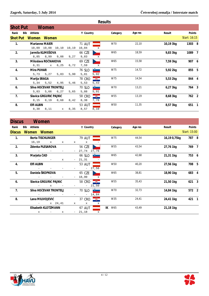|                 | <b>Results</b> |                        |              |                   |       |               |                                  |          |         |               |              |  |
|-----------------|----------------|------------------------|--------------|-------------------|-------|---------------|----------------------------------|----------|---------|---------------|--------------|--|
| <b>Shot Put</b> |                |                        | Women        |                   |       |               |                                  |          |         |               |              |  |
| Rank            | Bib            | Athlete                |              |                   |       | Y Country     |                                  | Category | Age res | Result        | Points       |  |
| <b>Shot Put</b> |                | Women Women            |              |                   |       |               |                                  |          |         |               | Start: 16:15 |  |
| $\mathbf{1}$ .  |                | <b>Marianne MAIER</b>  |              |                   |       | <b>71 AUT</b> |                                  | W70      | 22,10   | 10,19 3kg     | 1303 8       |  |
|                 |                |                        |              | 10,09 10,08 10,10 | 10,19 | 10,04         | X                                |          |         |               |              |  |
| 2.              |                | Jarmila KLIMEŠOVA      |              |                   |       | 66 CZE        |                                  | W65      | 18,59   | 9,83 3kg      | 1089 7       |  |
|                 |                | 8,85                   | 8,99         | 9,08              | 9,27  | 9,83          | $\mathbf{x}$                     |          |         |               |              |  |
| 3.              |                | Miloslava ROČNAKOVA    |              |                   |       | 69 CZE        |                                  | W65      | 15,58   | 7,59 3kg      | 907 6        |  |
|                 |                | 6,31                   | $\mathbf{x}$ | 6, 25             | 6,72  | 7,59          | $\mathbf{x}$                     |          |         |               |              |  |
| 4.              |                | <b>Mira PUHAR</b>      |              |                   |       | 76 SLO        | $\bullet$ . The set of $\bullet$ | W75      | 14,72   | 5,92 2kg      | 855 5        |  |
|                 |                | 5,73                   | 5,27         | 5,83              | 5,90  | 5,81          | 5,92                             |          |         |               |              |  |
| 5.              |                | Marija SRAGA           |              |                   |       | 78 CRO        | $-\frac{1}{2}$                   | W75      | 14,54   | 5,53 2kg      | 844 4        |  |
|                 |                | 5,34                   | 5,52         | 4,95              | 5,46  | 5,53          | 5,43                             |          |         |               |              |  |
| 6.              |                | Silva HOČEVAR TRONTELJ |              |                   |       | 70 SLO        |                                  | W70      | 13,21   | $6,27$ 3 $kg$ | 764 3        |  |
|                 |                | 5,83                   | 5,66         | 6, 27             | 5,65  | 5,88          | 5,91                             |          |         |               |              |  |
| 7 <sub>1</sub>  |                | Slavica GRGURIĆ PAJNIĆ |              |                   |       | 58 CRO        | $\mathbb{R}^+$                   | W55      | 13,19   | 8,68 3kg      | 762 2        |  |
|                 |                | 8,15                   | 8,19         | 8,68              | 8,42  | 8,38          | 7,78                             |          |         |               |              |  |
| 8.              |                | Elfi ALBIN             |              |                   |       | 53 AUT        |                                  | W50      | 11,35   | 8,57 3kg      | 651 1        |  |
|                 |                | 8, 30                  | 8,11         | $\mathbf x$       | 8,35  | 8,57          | 8,10                             |          |         |               |              |  |

| <b>Discus</b>  |             | Women                    |                                   |              |   |                     |              |    |          |         |             |              |  |
|----------------|-------------|--------------------------|-----------------------------------|--------------|---|---------------------|--------------|----|----------|---------|-------------|--------------|--|
| Rank           | Bib Athlete |                          |                                   |              |   | Y Country           |              |    | Category | Age res | Result      | Points       |  |
| <b>Discus</b>  |             | Women Women              |                                   |              |   |                     |              |    |          |         |             | Start: 15:00 |  |
| $\mathbf{1}$ . |             | <b>Berta TISCHLINGER</b> |                                   |              |   | <b>79 AUT</b>       |              |    | W75      | 44,54   | 16,190,75kg | 787 8        |  |
|                |             | $16, 19$ x               |                                   | $\mathbf x$  | x | $\mathbf x$         |              |    |          |         |             |              |  |
| 2.             |             | Zdenka PLESAROVA         |                                   |              |   | 56 CZE              |              |    | W55      | 43,54   | 27,76 1kg   | 769 7        |  |
|                |             |                          |                                   |              |   | 27,74               | 27,76        |    |          |         |             |              |  |
| 3 <sub>1</sub> | Marjeta ČAD |                          |                                   |              |   | 66 SLO $\Box$       |              |    | W65      | 42,68   | 21,31 1kg   | 753 6        |  |
|                |             |                          |                                   | $\mathbf{x}$ |   | 21,31               |              |    |          |         |             |              |  |
| 4.             | Elfi ALBIN  |                          |                                   |              |   | <b>53 AUT</b>       |              |    | W50      | 40,20   | 27,56 1kg   | 708 5        |  |
|                |             |                          |                                   |              |   |                     | $-27,56$     |    |          |         |             |              |  |
| 5.             |             | Daniela ŠKOPKOVA         |                                   |              |   | 65 CZE              |              |    | W65      | 38,81   | 18,90 1kg   | 683 4        |  |
|                |             |                          |                                   |              |   | 18,90               | $\mathbf{x}$ |    |          |         |             |              |  |
| 6.             |             | Slavica GRGURIĆ PAJNIĆ   |                                   |              |   | 58 CRO <u>- 號 -</u> |              |    | W55      | 35,43   | 21,50 1kg   | 621 3        |  |
|                |             |                          | $\mathbf{x}$                      |              |   | $\sim$              | 21,50        |    |          |         |             |              |  |
| 7 <sub>1</sub> |             | Silva HOČEVAR TRONTELJ   |                                   |              |   | 70 SLO              |              |    | W70      | 32,73   | 14,84 1kg   | 572 2        |  |
|                |             |                          |                                   |              |   |                     | $-14,84$     |    |          |         |             |              |  |
| 8.             |             | Lana MILIVOJEVIĆ         |                                   |              |   | 37 CRO <b>WE</b>    |              |    | W35      | 24,41   | 24,41 1kg   | 421 1        |  |
|                |             |                          | $x = 24, 41$                      |              | X | X                   | X            |    |          |         |             |              |  |
|                |             | Elisabeth KLOTZMANN      |                                   |              |   | 67 AUT              |              | IK | W65      | 43,49   | 21,18 1kg   |              |  |
|                |             | $\mathbf{x}$             | <b>Contract Contract Contract</b> | x            |   | 21,18               | $\mathbf{x}$ |    |          |         |             |              |  |

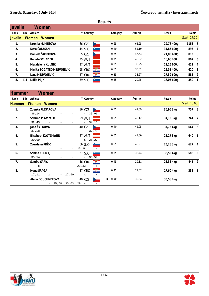|                |                    |                            |               |    | <b>Results</b> |         |            |               |  |
|----------------|--------------------|----------------------------|---------------|----|----------------|---------|------------|---------------|--|
| <b>Javelin</b> |                    | Women                      |               |    |                |         |            |               |  |
| Rank           | Bib<br>Athlete     |                            | Y Country     |    | Category       | Age res | Result     | <b>Points</b> |  |
| Javelin        | <b>Women</b>       | <b>Women</b>               |               |    |                |         |            | Start: 17:30  |  |
| 1.             |                    | Jarmila KLIMEŠOVA          | 66 CZE        |    | W65            | 65,25   | 29,76 400g | 1153 8        |  |
| 2.             |                    | Desa ČALASAN               | 44 SLO        |    | W40            | 51,19   | 34,85 600g | 897 7         |  |
| 3.             |                    | Daniela ŠKOPKOVA           | 65 CZE        |    | W65            | 46,53   | 21,80 400g | 813 6         |  |
| 4.             |                    | <b>Renate SCHADEN</b>      | <b>75 AUT</b> |    | W75            | 45,92   | 16,66 400g | 802 5         |  |
| 5.             |                    | Magdalena KULNIK           | 37 AUT        |    | W35            | 35,95   | 29,25 600g | 622 4         |  |
| 6.             |                    | Melita BOGATEC-MILIVOJEVIĆ | <b>68 CRO</b> | Q. | W65            | 35,82   | 15,51 400g | 620 3         |  |
| 7.             |                    | Lana MILIVOJEVIĆ           | 37 CRO        | 覆  | W35            | 33,67   | 27,39 600g | 581 2         |  |
| 8.             | Lidija PAJK<br>111 |                            | 39 SLO        |    | W35            | 20,75   | 16,05 600g | 350 1         |  |
|                |                    |                            |               |    |                |         |            |               |  |

| <b>Hammer</b>  | Women                       |              |                                |           |         |           |              |
|----------------|-----------------------------|--------------|--------------------------------|-----------|---------|-----------|--------------|
| Rank           | Bib Athlete                 |              | Y Country                      | Category  | Age res | Result    | Points       |
| <b>Hammer</b>  | Women Women                 |              |                                |           |         |           | Start: 10:00 |
| $\mathbf{1}$ . | Zdenka PLESAROVA            |              | 56 CZE                         | W55       | 49,09   | 36,96 3kg | 757 8        |
|                | 36,14                       |              | 36,96                          |           |         |           |              |
| 2.             | Sabrina PLAMMER             |              | <b>59 AUT</b>                  | W55       | 48,12   | 34,13 3kg | 741 7        |
|                | 32,43                       |              | $-34,13$                       |           |         |           |              |
| 3.             | Jana ČAPKOVA                |              | 40 CZE                         | W40       | 42,05   | 37,75 4kg | 644 6        |
|                | 37,58                       |              | 37,75                          |           |         |           |              |
| 4.             | Elisabeth KLOTZMANN         |              | 67 AUT                         | W65       | 41,80   | 25,27 3kg | 640 5        |
|                | 20,99                       |              | $x = 25, 27$                   |           |         |           |              |
| 5.             | Zvezdana KRŽIČ              |              | 66 SLO $\Box$                  | W65       | 40,97   | 25,28 3kg | 627 4        |
|                | $\mathbf{x}$<br>$\mathbf x$ | $\mathbf{x}$ | 25,28                          |           |         |           |              |
| 6.             | Sabina KREBELJ              |              | 37 SLO<br><b>Participation</b> | W35       | 38,44   | 36,59 4kg | 586 3        |
|                | 35,14                       |              | 36,59                          |           |         |           |              |
| 7 <sub>1</sub> | Sandra ŠARIĆ                |              | 還<br>46 CRO                    | W45       | 29,31   | 23,33 4kg | 441 2        |
|                | $\mathbf{x}$                |              | 23,33<br>x                     |           |         |           |              |
| 8.             | Ivana SRAGA                 |              | $-\frac{20}{36}$<br>47 CRO     | W45       | 22,57   | 17,60 4kg | 333 1        |
|                | 17,11<br>$\mathbf x$        | $-17,60$     | x<br>x                         |           |         |           |              |
|                | Alena BOUCHNEROVA           |              | 40 CZE                         | IK<br>W40 | 39,64   | 35,58 4kg |              |
|                | 35,58<br>$\mathbf{x}$       | 30,03        | 29,14<br>$\mathbf{x}$          |           |         |           |              |

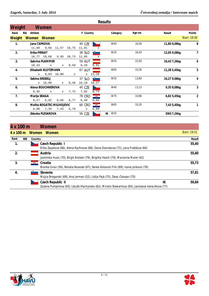|                |     |                |                            |                            |                               |               |                           | <b>Results</b> |         |                   |                |
|----------------|-----|----------------|----------------------------|----------------------------|-------------------------------|---------------|---------------------------|----------------|---------|-------------------|----------------|
| Weight         |     |                | Women                      |                            |                               |               |                           |                |         |                   |                |
| Rank           | Bib | Athlete        |                            |                            |                               | Y Country     |                           | Category       | Age res | Result            | Points         |
|                |     |                | Weight Women Women         |                            |                               |               |                           |                |         |                   | Start: 18:30   |
| $\mathbf{1}$ . |     | Jana ČAPKOVA   |                            |                            |                               | 40 CZE        |                           | W40            | 16,56   | 11,80 9,08kg      | 8              |
|                |     |                | 11,80 9,69                 | 11,57 10,75                |                               | 11,01         | $\mathbf{x}$              |                |         |                   |                |
| 2.             |     | Erika PIRNAT   |                            |                            |                               | 38 SLO        |                           | W35            | 16,43   | 12,05 9,08kg      | 7              |
|                |     |                | 10,77 10,68 9,93 10,73     |                            |                               | 12,05         | X                         |                |         |                   |                |
| 3.             |     |                | Sabrina PLAMMER            |                            |                               | <b>59 AUT</b> |                           | W55            | 15,50   | 10,43 7,26kg      | 6              |
|                |     | 10,43          |                            | $\mathbf x$<br>$\mathbf x$ | 9,59                          | 9,33          | 9,91                      |                |         |                   |                |
| 4.             |     |                | Elisabeth KLOTZMANN        |                            |                               | <b>67 AUT</b> |                           | W65            | 15,26   | 11,28 5,45kg      | 5              |
|                |     |                | x 9,83 10,80               |                            | $\mathbf{x}$ and $\mathbf{x}$ |               | x 11,28                   |                |         |                   |                |
| 5.             |     | Sabina KREBELJ |                            |                            |                               | 37 SLO        | i e contro                | W35            | 13,80   | 10,27 9,08kg      | 4              |
|                |     |                | $x = 10,00$                | $\mathbf{x}$               | 9,48                          | 10,19 10,27   |                           |                |         |                   |                |
| 6.             |     |                | Alena BOUCHNEROVA          |                            |                               | 40 CZE        |                           | W40            | 13, 13  | 9,35 9,08kg       | 3              |
|                |     | 9,35           | $\mathbf{x}$               | $\mathbf x$                | 7,72                          | 7,82          | 8,74                      |                |         |                   |                |
| 7 <sub>1</sub> |     | Marija SRAGA   |                            |                            |                               | 78 CRO        | $\overline{\mathbf{z}}$ . | W75            | 10,86   | 6,82 5,45kg       | $\overline{2}$ |
|                |     | 6,27           | 5,92                       | 6,66                       | 6,77                          | 6,49          | 6,82                      |                |         |                   |                |
| 8.             |     |                | Melita BOGATEC-MILIVOJEVIĆ |                            |                               | 68 CRO        | $-\frac{m}{2}$            | W65            | 10,20   | 7,43 5,45kg       | 1              |
|                |     |                | $6,00$ $7,34$ $7,43$       |                            | 6,78                          | $\mathbf x$   | 6,89                      |                |         |                   |                |
|                |     |                | Zdenka PLESAROVA           |                            |                               | 56 CZE        |                           | W55<br>IK      |         | <b>DNS 7,26kg</b> |                |

| 4 x 100 m                |     |         | Women                                                                                           |    |              |
|--------------------------|-----|---------|-------------------------------------------------------------------------------------------------|----|--------------|
| $4 \times 100 \text{ m}$ |     | Women   | <b>Women</b>                                                                                    |    | Start: 19:31 |
| Rank                     | BIB | Country |                                                                                                 |    | Result       |
| 1.                       |     |         | Czech Republic I                                                                                |    | 55,40        |
|                          |     |         | Erika Zapalova (66), Alena Rychnova (66), Dana Dvorakova (71), Jana Frabšova (64)               |    |              |
| $\overline{2}$ .         |     |         | Austria                                                                                         |    | 55,60        |
|                          |     |         | Jasminka Husic (70), Birgit Kreisler (79), Brigitta Hesch (79), Marianne Maier (42)             |    |              |
| 3.                       |     |         | Croatia                                                                                         |    | 55,73        |
|                          |     |         | Branka Graić (56), Renata Novosel (67), Senka Kolovrat Frlić (69), Ivona Jerković (76)          |    |              |
| 4.                       |     |         | Slovenia                                                                                        |    | 57,81        |
|                          |     |         | Mojca Breganski (69), Ana Jerman (52), Lidija Pajk (75), Desa Čalasan (70)                      |    |              |
|                          |     |         | Czech Republic II                                                                               | IK | 59,84        |
|                          |     |         | Zuzana Pumprlova (60), Libuše Vlachynska (62), Miriam Stewartova (64), Jaroslava Vanečkova (77) |    |              |

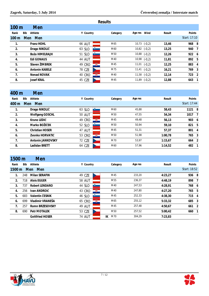|                  | <b>Results</b>        |               |              |                  |        |              |  |  |  |  |  |  |  |  |
|------------------|-----------------------|---------------|--------------|------------------|--------|--------------|--|--|--|--|--|--|--|--|
| 100 <sub>m</sub> | Men                   |               |              |                  |        |              |  |  |  |  |  |  |  |  |
| Rank             | Bib<br>Athlete        | Y Country     | Category     | Wind<br>Age res  | Result | Points       |  |  |  |  |  |  |  |  |
| 100 <sub>m</sub> | Men<br><b>Men</b>     |               |              |                  |        | Start: 17:10 |  |  |  |  |  |  |  |  |
| 1.               | <b>Franz HOHL</b>     | <b>66 AUT</b> | M65          | $10,73$ $(-0,2)$ | 13,46  | 968 8        |  |  |  |  |  |  |  |  |
| 2.               | Drago NIKOLIČ         | 63 SLO        | M60          | $10,82$ $(-0,2)$ | 13,25  | 940 7        |  |  |  |  |  |  |  |  |
| 3.               | Božo HIMELRAJH        | 51 SLO        | M50<br>-8-11 | $10,88$ $(-0,2)$ | 12,26  | 922 6        |  |  |  |  |  |  |  |  |
| 4.               | Edi GONAUS            | <b>44 AUT</b> | M40          | $10,98$ $(-0,2)$ | 11,81  | 892 5        |  |  |  |  |  |  |  |  |
| 5.               | Slaven ŽIMBREK        | 49 CRO        | S.<br>M45    | $11,01$ $(-0,2)$ | 12,25  | 883 4        |  |  |  |  |  |  |  |  |
| 6.               | <b>Antonin KABELE</b> | 78 CZE        | M75          | $11,41$ $(-0,2)$ | 16,21  | 769 3        |  |  |  |  |  |  |  |  |
| 7.               | <b>Nenad NOVAK</b>    | <b>40 CRO</b> | 覆<br>M40     | $11,58$ $(-0,2)$ | 12,14  | 723 2        |  |  |  |  |  |  |  |  |
| 8.               | <b>Josef KRAL</b>     | 45 CZE        | M45          | $11,89$ (-0,2)   | 12,88  | 643 1        |  |  |  |  |  |  |  |  |

| 400 m | Men                    |                         |          |         |         |              |  |
|-------|------------------------|-------------------------|----------|---------|---------|--------------|--|
| Rank  | Bib<br>Athlete         | Y Country               | Category | Age res | Result  | Points       |  |
| 400 m | Men<br>Men             |                         |          |         |         | Start: 17:44 |  |
| 1.    | Drago NIKOLIČ          | - 3-<br>63 SLO          | M60      | 45,88   | 58,43   | 1121 8       |  |
| 2.    | <b>Wolfgang GOSCHL</b> | <b>50 AUT</b>           | M50      | 47,55   | 54,34   | 1017 7       |  |
| 3.    | Kruno LEDIĆ            | 49 CRO                  | 零<br>M45 | 49,48   | 56,13   | 903 6        |  |
| 4.    | Marko BOŽIČEK          | $\rightarrow$<br>52 SLO | M50      | 50,94   | 59,10   | 821 5        |  |
| 5.    | <b>Christian HOSER</b> | 47 AUT                  | M45      | 51,31   | 57,37   | 801 4        |  |
| 6.    | Zvonko HORVATIĆ        | 53 CRO                  | 覺<br>M50 | 51,98   | 1:00,78 | 765 3        |  |
| 7.    | Antonin JANKOVSKY      | 72 CZE                  | M70      | 53,97   | 1:15,67 | 664 2        |  |
| 8.    | Ladislav BRETT         | 64 CZE                  | M60      | 57,96   | 1:14.52 | 482          |  |

| 1500 m           | Men                    |               |   |           |         |         |              |  |
|------------------|------------------------|---------------|---|-----------|---------|---------|--------------|--|
| Bib              | Athlete                |               |   | Category  | Age res | Result  | Points       |  |
| $1500 \text{ m}$ | <b>Men</b>             |               |   |           |         |         | Start: 18:52 |  |
| 248              | <b>Milan SERAFIN</b>   | 49 CZE        |   | M45       | 233,20  | 4:23,27 | 936 8        |  |
| 718              | <b>Alois EGGER</b>     | <b>58 AUT</b> |   | M55       | 236,37  | 4:48,19 | 898 7        |  |
| 737              | <b>Robert LENDARO</b>  | 44 SLO        |   | M40       | 247.53  | 4:28,91 | 768 6        |  |
| 256              | Ivan ANDROIĆ           | 43 CRO        | 哪 | M40       | 247,80  | 4:27,20 | 765 5        |  |
| 683              | Valentin ČESNIK        | 46 SLO        |   | M45       | 252,33  | 4:38,30 | 715 4        |  |
| 699              | Vladimir VRANEŠA       | 65 CRO        | 覆 | M65       | 255,12  | 5:33,32 | 685 3        |  |
| 257              | <b>Romn BRZESOVSKY</b> | <b>49 AUT</b> |   | M45       | 257,48  | 4:50,67 | 661 2        |  |
| 690              | <b>Petr MOTALEK</b>    | 53 CZE        |   | M50       | 257,52  | 5:00,42 | 660 1        |  |
|                  | <b>Gottfried HOSER</b> | <b>74 AUT</b> |   | M70<br>IK | 304,29  | 7:23.83 |              |  |
|                  |                        | <b>Men</b>    |   | Y Country |         |         |              |  |



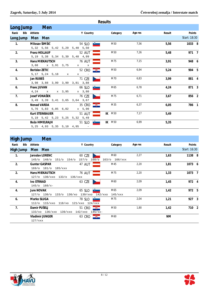|                   | Results            |                        |        |                                             |                  |               |         |        |              |  |  |  |  |
|-------------------|--------------------|------------------------|--------|---------------------------------------------|------------------|---------------|---------|--------|--------------|--|--|--|--|
| Long Jump         |                    | Men                    |        |                                             |                  |               |         |        |              |  |  |  |  |
| Rank              | Bib Athlete        |                        |        | Y Country                                   |                  | Category      | Age res | Result | Points       |  |  |  |  |
| Long Jump Men Men |                    |                        |        |                                             |                  |               |         |        | Start: 18:30 |  |  |  |  |
| $\mathbf{1}$ .    |                    | Milosav ŠIMŠIČ         |        | $54$ SLO $\Box$                             |                  | M50           | 7,56    | 5,56   | 1033 8       |  |  |  |  |
|                   |                    |                        |        | 5,32 5,56 5,42 5,29 5,40 5,50               |                  |               |         |        |              |  |  |  |  |
| 2.                |                    | <b>Franz HOLLAUF</b>   |        | 52 AUT                                      |                  | M50           | 7,26    | 5,48   | 971 7        |  |  |  |  |
|                   |                    |                        |        | 5, 19 5, 38 5, 34 5, 39 5, 48 4, 99         |                  |               |         |        |              |  |  |  |  |
| 3.                |                    | <b>Hans MIEKAUTSCH</b> |        | 76 AUT                                      |                  | M75           | 7,15    | 3,91   | 948 6        |  |  |  |  |
|                   |                    | 3,68 x 3,91 3,75       |        | $\mathbf x$ and $\mathbf x$<br>$\mathbf{x}$ |                  |               |         |        |              |  |  |  |  |
| 4.                | Berislav ZETIĆ     |                        |        | 52 CRO                                      | $\frac{1}{2}$    | M50           | 6,94    | 5,24   | 904 5        |  |  |  |  |
|                   |                    | 5,17 5,24 5,18 x       |        | $\mathbf x$                                 |                  |               |         |        |              |  |  |  |  |
| 5.                | Jan RUBEŠ          |                        |        | 71 CZE                                      |                  | M70           | 6,83    | 3,99   | 881 4        |  |  |  |  |
|                   |                    |                        |        | 3,98 3,88 3,99 3,99 3,81 3,88               |                  |               |         |        |              |  |  |  |  |
| 6.                | <b>Franc JUVAN</b> |                        |        | 66 SLO                                      |                  | M65           | 6,78    | 4,24   | 871 3        |  |  |  |  |
|                   |                    | $4,24$ x               | x 3,95 | x 3,80                                      |                  |               |         |        |              |  |  |  |  |
| 7 <sub>1</sub>    |                    | Josef VONAŠEK          |        | 76 CZE                                      |                  | M75           | 6,71    | 3,67   | 856 2        |  |  |  |  |
|                   |                    |                        |        | 3,49 3,39 3,41 3,65 3,64 3,67               |                  |               |         |        |              |  |  |  |  |
| 8.                | <b>Nenad VARDA</b> |                        |        | 35 CRO                                      | $-\frac{88}{36}$ | M35           | 6,37    | 6,05   | 786 1        |  |  |  |  |
|                   |                    | 5,76 5,83 6,05 6,02    |        | $x = 5,90$                                  |                  |               |         |        |              |  |  |  |  |
|                   |                    | <b>Kurt STEINBAUER</b> |        | <b>51 AUT</b>                               |                  | <b>IK M50</b> | 7,17    | 5,49   |              |  |  |  |  |
|                   |                    |                        |        | 5, 19 5, 42 5, 23 5, 25 5, 32 5, 49         |                  |               |         |        |              |  |  |  |  |
|                   |                    | Božo HIMELRAJH         |        | 51 SLO                                      |                  | <b>IK M50</b> | 6,99    | 5,35   |              |  |  |  |  |
|                   |                    |                        |        | $5,25$ 4,93 5,35 5,10 4,95 -                |                  |               |         |        |              |  |  |  |  |

#### **High Jump Men**

|                | <u>High Jump</u> |                               | <b>IVICH</b>                      |                         |                    |         |           |              |  |
|----------------|------------------|-------------------------------|-----------------------------------|-------------------------|--------------------|---------|-----------|--------------|--|
| Rank           | Bib              | Athlete                       |                                   | Y Country               | Category           | Age res | Result    | Points       |  |
| High Jump      |                  | Men Men                       |                                   |                         |                    |         |           | Start: 16:30 |  |
| 1.             |                  |                               | <b>Jaroslav LORENC</b>            | <b>60 CZE</b>           | M60                | 2,27    | 1,63      | 1138 8       |  |
|                |                  |                               | 145/o 148/o<br>151/c<br>154/o     | 157/c<br>$160$ /o       | $163/c$ $166/xxx$  |         |           |              |  |
| 2.             |                  |                               | <b>Gunter GASPAR</b>              | 47 AUT                  | M45                | 2,20    | 1,81      | 1073 6       |  |
|                |                  |                               | $169/0$ $181/0$<br>$185 /$ xxx    |                         |                    |         |           |              |  |
| 2.             |                  |                               | <b>Hans MIEKAUTSCH</b>            | <b>76 AUT</b>           | M75                | 2,20    | 1,33      | 1073 7       |  |
|                |                  |                               | 127/0 130/xx0 133/0<br>136/xxx    |                         |                    |         |           |              |  |
| 4.             |                  | <b>Ivo STRNAD</b>             |                                   | 63 CZE                  | M60                | 2,09    | 1,45      | 972 4        |  |
|                |                  |                               | $145$ /0 $160/x$ -                |                         |                    |         |           |              |  |
| 4.             |                  | <b>Jure NOVAK</b>             |                                   | 65 SLO                  | M65                | 2,09    | 1,42      | 972 5        |  |
|                |                  |                               | $127/c$ 130/o<br>$133/0$ $136/x0$ | 139/xxo                 | 142/xxo<br>145/xxx |         |           |              |  |
| 6.             |                  | Marko SLUGA                   |                                   | 78 SLO                  | M75                | 2,04    | 1,21      | 927 3        |  |
|                |                  |                               | $112$ /o $115/xx0 118/x0$         | $121/xxo$ $124/xxx$     |                    |         |           |              |  |
| 7 <sub>1</sub> |                  | Damir PUŠELJ                  |                                   | $ \mathbb{Z}$<br>51 CRO | M50                | 1,80    | 1,42      | 710 2        |  |
|                |                  | $133/xo$ $136/xxo$<br>139/xxo |                                   | 142/xxo<br>$145 / xx -$ |                    |         |           |              |  |
|                |                  |                               | <b>Vladimir JUNGER</b>            | $-2$<br>63 CRO          | M60                |         | <b>NM</b> |              |  |
|                |                  | 127/xxx                       |                                   |                         |                    |         |           |              |  |

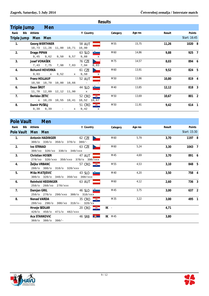|                |                     |                        |      |             |               |               | <b>Results</b> |         |        |              |  |
|----------------|---------------------|------------------------|------|-------------|---------------|---------------|----------------|---------|--------|--------------|--|
|                | Triple Jump         | Men                    |      |             |               |               |                |         |        |              |  |
| Rank           | Bib<br>Athlete      |                        |      |             | Y Country     |               | Category       | Age res | Result | Points       |  |
|                | Triple Jump Men Men |                        |      |             |               |               |                |         |        | Start: 16:45 |  |
| $\mathbf{1}$ . |                     | <b>Georg WERTHNER</b>  |      |             | <b>58 AUT</b> |               | M55            | 15,75   | 11,26  | 1020 8       |  |
|                |                     | 10,73 11,26 11,00      |      | 10,71       | 10,90         |               |                |         |        |              |  |
| 2.             | Drago PIPAN         |                        |      |             | 63 SLO        |               | M60            | 14,86   | 9,88   | 925 7        |  |
|                |                     | $9,45$ $9,62$          | 9,50 | 9,57        | 9,88          | X             |                |         |        |              |  |
| 3.             |                     | Josef VONAŠEK          |      |             | 76 CZE        |               | M75            | 14,57   | 8,03   | 894 6        |  |
|                | 7,43                | 7,75                   | 7,98 | 7,83        | 7,94          | 8,03          |                |         |        |              |  |
| 4.             |                     | <b>Bohumil HOVORKA</b> |      |             | 61 CZE        |               | M60            | 13,91   | 9,52   | 824 5        |  |
|                | 9,03                | $\mathbf{x}$           | 9,52 | $\mathbf x$ | 9,50          | $\mathbf{x}$  |                |         |        |              |  |
| 5.             |                     | <b>Franz HOLLAUF</b>   |      |             | 52 AUT        |               | M50            | 13,86   | 10,80  | 819 4        |  |
|                |                     | 10,50 10,70            |      | 10,80 10,66 |               |               |                |         |        |              |  |
| 6.             | Dean ŠROT           |                        |      |             | 44 SLO        |               | M40            | 13,85   | 12, 12 | 818 3        |  |
|                |                     | 11,70 12,09            |      | 12,12 11,90 | $\mathbf x$   |               |                |         |        |              |  |
| 7 <sub>1</sub> |                     | Berislav ZETIĆ         |      |             | 52 CRO        | $\frac{1}{2}$ | M50            | 13,69   | 10,67  | 801 2        |  |
|                |                     | x 10,29                |      | 10,55 10,41 | 10,52         | 10,67         |                |         |        |              |  |
| 8.             |                     | Damir PUŠELJ           |      |             | 51 CRO        | $^{\circ}$    | M50            | 11,91   | 9,42   | 614 1        |  |
|                | 9,39                | 9,39                   |      | X           | 9,42          | $\mathbf{x}$  |                |         |        |              |  |

|                | Pole Vault Men                                                 |                             |                 |         |        |              |
|----------------|----------------------------------------------------------------|-----------------------------|-----------------|---------|--------|--------------|
| Rank           | Bib Athlete                                                    | Y Country                   | Category        | Age res | Result | Points       |
|                | Pole Vault Men Men                                             |                             |                 |         |        | Start: 15:30 |
| $\mathbf{1}$ . | <b>Antonin HADINGER</b><br>300/o 330/o 350/o 370/o 380/-       | 62 CZE                      | M60             | 5.79    | 3,70   | 1197 8       |
| 2.             | <b>Ivo STRNAD</b><br>300/xo 320/xo 330/o 340/xxx               | 63 CZE                      | M60             | 5,24    | 3,30   | 1043 7       |
| 3.             | <b>Christian HOSER</b><br>270/xo 320/xxo 350/xxo 370/o 390/xxx | 47 AUT                      | M45             | 4,69    | 3,70   | 891 6        |
| 4.             | Željko VRBANC<br>280/o 300/o 310/o 320/xxx                     | 57 CRO <b>- 零</b>           | M <sub>55</sub> | 4,53    | 3,10   | 848 5        |
| 5 <sub>1</sub> | Mišo MATIJEVIČ<br>300/o 320/o 340/o 350/xo                     | 43 SLO $\Box$<br>$360$ /xxx | M40             | 4,20    | 3,50   | 758 4        |
| 6.             | <b>Reinhold HEIDINGER</b><br>250/o 260/xo 270/xxx              | 63 AUT                      | M60             | 4,12    | 2,60   | 736 3        |
| 7 <sub>1</sub> | Damjan GRIL<br>250/o 270/o 290/xxo 300/o 310/xxx               | 46 SLO $\blacksquare$       | M45             | 3,75    | 3,00   | 637 2        |
| 8.             | <b>Nenad VARDA</b><br>$280/xo$ 290/o 300/xo 310/x- 320/xx      | 35 CRO <b>WE</b>            | M35             | 3,22    | 3,00   | 495 1        |
|                | Hrvoje SEDLAR<br>420/o 450/o 471/o 482/xxx                     | 20 CRO $\frac{1}{2}$        | $IK -$          |         | 4,71   |              |
|                | Aca STANKOVIĆ<br>$360$ /o $380$ /o $390$ /-                    | <b>46 SRB</b><br>第一         | $IK$ $M45$      |         | 3,80   |              |

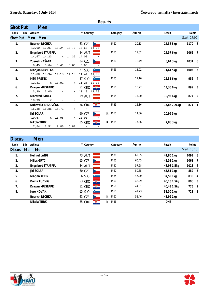|                 | Results |                         |              |                          |                                |          |         |              |              |  |  |  |  |  |
|-----------------|---------|-------------------------|--------------|--------------------------|--------------------------------|----------|---------|--------------|--------------|--|--|--|--|--|
| <b>Shot Put</b> |         | <b>Men</b>              |              |                          |                                |          |         |              |              |  |  |  |  |  |
| Rank            |         | Bib Athlete             |              | Y Country                |                                | Category | Age res | Result       | Points       |  |  |  |  |  |
| <b>Shot Put</b> |         | Men Men                 |              |                          |                                |          |         |              | Start: 17:00 |  |  |  |  |  |
| $\mathbf{1}$ .  |         | <b>Bedrich RECHKA</b>   |              | 63 CZE                   |                                | M60      | 20,83   | 14,38 5kg    | 1170 8       |  |  |  |  |  |
|                 |         | 13,60 13,07 13,24 13,73 |              | 13,63 14,38              |                                |          |         |              |              |  |  |  |  |  |
| 2.              |         | Engelbert STAMPFL       |              | <b>54 AUT</b>            |                                | M50      | 19,02   | 14,57 6kg    | 1062 7       |  |  |  |  |  |
|                 |         | 14,57 14,23             | $x = 14, 36$ | 14,08                    | $\mathbf{x}$                   |          |         |              |              |  |  |  |  |  |
| 3.              |         | Zdenek VAŠATA           |              | 84 CZE                   |                                | M80      | 18,49   | 8,64 3kg     | 1031 6       |  |  |  |  |  |
|                 |         | 8,45<br>8,64<br>8,41    | 8,63         | 8,63                     |                                |          |         |              |              |  |  |  |  |  |
| 4.              |         | Marijan DEVETAK         |              | 67 SLO                   | <b>Barbara</b>                 | M65      | 18,02   | 11,41 5kg    | 1003 5       |  |  |  |  |  |
|                 |         | 11,00 10,94 11,18 11,10 |              | $11, 41$ $11, 32$        |                                |          |         |              |              |  |  |  |  |  |
| 5.              |         | <b>Miki PRSTEC</b>      |              | 57 SLO                   | <u>e se escritoria de la p</u> | M55      | 17,16   | 12,31 6kg    | 952 4        |  |  |  |  |  |
|                 |         | 12,31<br>x 11,91        |              | x 11,25 12,03            |                                |          |         |              |              |  |  |  |  |  |
| 6.              |         | Dragan MUSTAPIĆ         |              | 51 CRO <b>10</b>         |                                | M50      | 16,27   | 13,30 6kg    | 899 3        |  |  |  |  |  |
|                 |         | 13,30 13,00<br>X        |              | x 13,18 13,08            |                                |          |         |              |              |  |  |  |  |  |
| 7.              |         | <b>Manfred BAULY</b>    |              | <b>59 AUT</b>            |                                | M55      | 15,90   | 10,93 6kg    | 877 2        |  |  |  |  |  |
|                 |         | 10,93<br>$\mathbf x$    |              | $\overline{\phantom{a}}$ |                                |          |         |              |              |  |  |  |  |  |
| 8.              |         | Dubravko BRDOVČAK       |              | 36 CRO                   | 婴。                             | M35      | 15,86   | 15,86 7,26kg | 874 1        |  |  |  |  |  |
|                 |         | 15,38 15,86 15,71       | x            | $\mathbf x$              |                                |          |         |              |              |  |  |  |  |  |
|                 |         | Jiri ŠOLAR              |              | 60 CZE                   | IK                             | M60      | 14,86   | 10,96 5kg    |              |  |  |  |  |  |
|                 |         | 10,57<br>x 10,96        | $\mathbf x$  | 10,93                    | $\mathbf x$                    |          |         |              |              |  |  |  |  |  |
|                 |         | Nikola TURK             |              | 85 CRO                   | œ.<br>IK                       | M85      | 17,36   | 7,86 3kg     |              |  |  |  |  |  |
|                 |         | 7,86<br>7,54<br>7,51    | 6,87         | $\overline{\phantom{m}}$ |                                |          |         |              |              |  |  |  |  |  |

| <b>Discus</b> | <b>Men</b>               |               |           |         |             |               |  |
|---------------|--------------------------|---------------|-----------|---------|-------------|---------------|--|
| Rank          | Bib<br>Athlete           | Y Country     | Category  | Age res | Result      | <b>Points</b> |  |
| <b>Discus</b> | Men<br><b>Men</b>        |               |           |         |             | Start: 16:15  |  |
| 1.            | <b>Helmut LANG</b>       | 73 AUT        | M70       | 62,05   | 41,80 1kg   | 1093 8        |  |
| 2.            | Miloš GRYC               | 65 CZE        | M65       | 60,43   | 48,51 1kg   | 1063 7        |  |
| 3.            | <b>Engelbert STAMPFL</b> | <b>54 AUT</b> | M50       | 57,68   | 48,98 1,5kg | 1013 6        |  |
| 4.            | Jiri ŠOLAR               | 60 CZE        | M60       | 50,85   | 45,51 1kg   | 889 5         |  |
| 5.            | Marjan KERIN             | 66 SLO        | M65       | 47,90   | 37,59 1kg   | 835 4         |  |
| 6.            | Damir LUDVIG             | 覆<br>53 CRO   | M50       | 46,29   | 40,15 1,5kg | 806 3         |  |
| 7.            | Dragan MUSTAPIĆ          | ÷,<br>51 CRO  | M50       | 44,61   | 40,43 1,5kg | 775 2         |  |
| 8.            | <b>Jure NOVAK</b>        | 65 SLO        | M65       | 41,73   | 33,50 1kg   | 723 1         |  |
|               | <b>Bedrich RECHKA</b>    | 63 CZE        | IK<br>M60 | 52,46   | 43,92 1kg   |               |  |
|               | Nikola TURK              | 鑬<br>85 CRO   | M85<br>IK |         | <b>DNS</b>  |               |  |

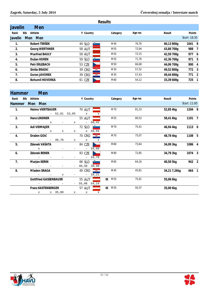|                | <b>Results</b> |                        |               |               |          |         |            |              |  |  |  |  |  |
|----------------|----------------|------------------------|---------------|---------------|----------|---------|------------|--------------|--|--|--|--|--|
| <b>Javelin</b> |                | <b>Men</b>             |               |               |          |         |            |              |  |  |  |  |  |
| Rank           | Bib            | Athlete                | Y Country     |               | Category | Age res | Result     | Points       |  |  |  |  |  |
| Javelin        | <b>Men</b>     | <b>Men</b>             |               |               |          |         |            | Start: 18:30 |  |  |  |  |  |
|                |                | Robert TERŠEK          | 44 SLO        | $\rightarrow$ | M40      | 76,76   | 60,13800g  | 1041 8       |  |  |  |  |  |
| 2.             |                | <b>Georg WERTHNER</b>  | <b>58 AUT</b> |               | M55      | 72,94   | 43,86 700g | 988 7        |  |  |  |  |  |
| 3.             |                | <b>Manfred BAULY</b>   | <b>59 AUT</b> |               | M55      | 72,15   | 42,59 700g | 977 6        |  |  |  |  |  |
| 4.             |                | Dušan KOREN            | 59 SLO        |               | M55      | 71,76   | 42,36 700g | 971 5        |  |  |  |  |  |
| 5.             |                | <b>Petr ERLEBACH</b>   | 53 CZE        |               | M50      | 66,68   | 44,06 700g | 900 4        |  |  |  |  |  |
| 6.             |                | Siniša BRADIĆ          | 39 CRO        | Ę.            | M35      | 57,52   | 49,52 800g | 772 3        |  |  |  |  |  |
| 7 <sub>1</sub> |                | <b>Goran JAVOREK</b>   | 39 CRO        | 覆             | M35      | 57,43   | 49,44 800g | 771 2        |  |  |  |  |  |
| 8.             |                | <b>Bohumil HOVORKA</b> | 61 CZE        |               | M60      | 54,12   | 33,39 600g | 725 1        |  |  |  |  |  |
|                |                |                        |               |               |          |         |            |              |  |  |  |  |  |

#### **Hammer Men**

| Rank           | Bib Athlete |                                                |             |                                   |             | Y Country               |                                        | Category      | Age res |       | Result       | Points       |  |
|----------------|-------------|------------------------------------------------|-------------|-----------------------------------|-------------|-------------------------|----------------------------------------|---------------|---------|-------|--------------|--------------|--|
| Hammer Men Men |             |                                                |             |                                   |             |                         |                                        |               |         |       |              | Start: 11:00 |  |
| $1.$ $\sim$    |             | Heimo VIERTBAUER                               |             | $70$ AUT $\overline{\phantom{0}}$ |             |                         |                                        | M70           |         | 81,33 | 52,85 4kg    | 1204 8       |  |
|                |             |                                                |             | $ -$ 52,81 52,85 $x$              |             |                         | X                                      |               |         |       |              |              |  |
| 2.             |             | <b>Hans LINDNER</b>                            |             |                                   |             | $55$ AUT $\overline{.}$ |                                        | M55           |         | 80,52 | 58,41 6kg    | 1191 7       |  |
|                |             |                                                |             | $-$ x $-$ x $-$ 58,41             |             |                         |                                        |               |         |       |              |              |  |
| 3.             |             | Adi VIDMAJER                                   |             |                                   |             |                         | 72 SLO $\sqrt{2}$                      | M70           |         | 75,41 | 46,94 4kg    | 1113 6       |  |
|                |             | $-$ x                                          | $\mathbf x$ |                                   |             |                         |                                        |               |         |       |              |              |  |
| 4.             |             | Dražen GOIĆ                                    |             |                                   |             |                         | 70 CRO $\frac{1}{2}$                   | M70           |         | 75,07 | 48,78 4kg    | 1108 5       |  |
|                |             |                                                | $ -$ 48,78  |                                   | $\mathbf x$ | $\mathbf x$             | x                                      |               |         |       |              |              |  |
| 5 <sub>1</sub> |             | Zdenek VAŠATA                                  |             |                                   |             |                         | 84 CZE                                 | M80           |         | 73,64 | 34,09 3kg    | 1086 4       |  |
|                |             | $\mathbf{x}$ and $\mathbf{y}$ and $\mathbf{y}$ |             |                                   |             |                         | $-34,09$                               |               |         |       |              |              |  |
| 6.             |             | Zdenek BENEK                                   |             |                                   |             |                         | 83 CZE                                 | M80           |         | 72,85 | 34,79 3kg    | 1074 3       |  |
|                |             |                                                |             |                                   |             |                         | $-34,79$                               |               |         |       |              |              |  |
| 7 <sub>1</sub> |             | Marjan KERIN                                   |             |                                   |             |                         | 66 SLO $\Box$                          | M65           |         | 64,16 | 40,50 5kg    | 942 2        |  |
|                |             |                                                |             |                                   |             |                         | 40,50 39,98                            |               |         |       |              |              |  |
| 8.             |             | Mladen SRAGA                                   |             |                                   |             |                         | 49 CRO $\frac{1}{2}$                   | M45           |         | 45,81 | 34,21 7,26kg | 664 1        |  |
|                |             |                                                | X           |                                   |             |                         | $-34,21$                               |               |         |       |              |              |  |
|                |             | <b>Gottfried GASSENBAUER</b>                   |             |                                   |             |                         | $55$ AUT $\qquad \qquad \qquad$        | <b>IK M55</b> |         | 75,91 | 55,06 6kg    |              |  |
|                |             |                                                |             |                                   |             |                         | 55,06 54,14                            |               |         |       |              |              |  |
|                |             | <b>Franz KASTENBERGER</b>                      |             |                                   |             |                         | $57$ AUT $\qquad \qquad \qquad \qquad$ | <b>IK M55</b> |         | 50,37 | 35,00 6kg    |              |  |
|                |             |                                                | x x 35,00   | $\mathbf x$                       |             | $\mathbf x$             | $\mathbf{x}$                           |               |         |       |              |              |  |
|                |             |                                                |             |                                   |             |                         |                                        |               |         |       |              |              |  |



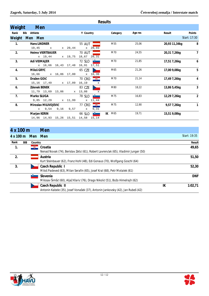|                |                                     |         |                      | <b>Results</b>       |          |         |               |                |
|----------------|-------------------------------------|---------|----------------------|----------------------|----------|---------|---------------|----------------|
| Weight         | Men                                 |         |                      |                      |          |         |               |                |
| Rank           | Bib Athlete                         |         | Y Country            |                      | Category | Age res | Result        | Points         |
|                | Weight Men Men                      |         |                      |                      |          |         |               | Start: 17:30   |
| $\mathbf{1}$ . | Hans LINDNER                        |         | <b>55 AUT</b>        |                      | M55      | 25,06   | 20,93 11,34kg | 8              |
|                | 19,45<br>$\mathbf{x}$               | x 20,44 | x 20,93              |                      |          |         |               |                |
| 2.             | <b>Heimo VIERTBAUER</b>             |         | <b>70 AUT</b>        |                      | M70      | 24,55   | 20,31 7,26kg  | 7              |
|                | x 19,44                             | x 19,75 | 18,67 20,31          |                      |          |         |               |                |
| 3.             | Adi VIDMAJER                        |         | 72 SLO $\frac{3}{2}$ |                      | M70      | 21,85   | 17,51 7,26kg  | 6              |
|                | x 16,66 16,43 17,48                 |         | 16,91 17,51          |                      |          |         |               |                |
| 4.             | Miloš GRYC                          |         | 65 CZE               |                      | M65      | 21,26   | 17,00 9,08kg  | 5              |
|                | 16,66 x 16,86 17,00                 |         | x 16,36              |                      |          |         |               |                |
| 5.             | Dražen GOIĆ                         |         | 70 CRO $\frac{1}{2}$ |                      | M70      | 21,14   | 17,49 7,26kg  | 4              |
|                | 15,16 17,49 x 17,09                 |         | 16,19                | x                    |          |         |               |                |
| 6.             | <b>Zdenek BENEK</b>                 |         | 83 CZE               |                      | M80      | 18,22   | 13,86 5,45kg  | 3              |
|                | 11,79 13,69 13,86                   |         | $x = 13,08$          | $\mathbf{x}$         |          |         |               |                |
| 7 <sub>1</sub> | Marko SLUGA                         |         | 78 SLO               | <b>Participation</b> | M75      | 16,83   | 12,29 7,26kg  | $\overline{2}$ |
|                | 9,85 12,29 x 11,99                  |         | x 11,44              |                      |          |         |               |                |
| 8.             | Miroslav MILIVOJEVIĆ                |         | 77 CRO               |                      | M75      | 12,90   | 9,57 7,26kg   | $\mathbf{1}$   |
|                | x 9,54 9,16 9,57                    |         | $\mathbf{x}$         | 9,31                 |          |         |               |                |
|                | Marjan KERIN                        |         | 66 SLO $\Box$        | IK                   | M65      | 19,71   | 15,51 9,08kg  |                |
|                | 14,96 14,93 15,26 15,51 14,58 15,14 |         |                      |                      |          |         |               |                |

# **4 x 100 m Men**

| 4 x 100 m   | Men Men |                                                                                                      |    | Start: 19:35 |
|-------------|---------|------------------------------------------------------------------------------------------------------|----|--------------|
| Rank<br>BIB | Country |                                                                                                      |    | Result       |
| 1.          | 釁       | Croatia<br>Nenad Novak (74), Berislav Zetić (61), Robert Lavrenčak (65), Vladimir Junger (50)        |    | 49,65        |
| 2.          |         | Austria<br>Kurt Steinbauer (62), Franz Hohl (48), Edi Gonaus (70), Wolfgang Goschl (64)              |    | 51,50        |
| 3.          |         | Czech Republic I<br>Miloš Padeved (63), Milan Serafin (65), Josef Kral (68), Petr Motalek (61)       |    | 52,30        |
|             |         | Slovenia<br>Milosav Šimšič (60), Aljaž Klarić (76), Drago Nikolič (51), Božo Himelrajh (62)          |    | <b>DNF</b>   |
|             |         | Czech Republic II<br>Antonin Kabele (35), Josef Vonašek (37), Antonin Jankovsky (42), Jan Rubeš (42) | IK | 1:02,71      |

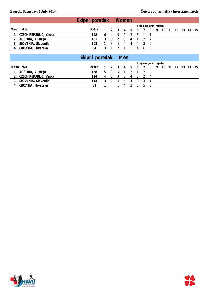|                          | Ekipni poredak Women |    |   |    |    |    |                       |                                     |  |  |  |
|--------------------------|----------------------|----|---|----|----|----|-----------------------|-------------------------------------|--|--|--|
|                          |                      |    |   |    |    |    | Broj osvojenih mjesta |                                     |  |  |  |
| Mjesto Klub              | Bodovi               |    |   |    |    |    |                       | 1 2 3 4 5 6 7 8 9 10 11 12 13 14 15 |  |  |  |
| 1. CZECH REPUBLIC, Češka | 148                  | h. | 4 |    |    |    |                       |                                     |  |  |  |
| 2. AUSTRIA, Austrija     | 131                  |    |   | -6 |    |    |                       |                                     |  |  |  |
| 3. SLOVENIA, Slovenija   | 108                  |    |   | 4  | 4  |    |                       |                                     |  |  |  |
| 4. CROATIA, Hrvatska     | 84                   |    |   |    | -4 | 66 |                       |                                     |  |  |  |

| Bodovi |   |       |   |                    |  |   |                       |  |                                     |
|--------|---|-------|---|--------------------|--|---|-----------------------|--|-------------------------------------|
| 158    |   |       |   |                    |  |   |                       |  |                                     |
| 114    | 4 |       | 4 | 3                  |  |   |                       |  |                                     |
| 114    |   | 4     | 4 |                    |  |   |                       |  |                                     |
| 81     |   |       |   | $\mathbf{b}$       |  |   |                       |  |                                     |
|        |   | $5 -$ |   | Ekipni poredak Men |  | h | Broj osvojenih mjesta |  | 1 2 3 4 5 6 7 8 9 10 11 12 13 14 15 |

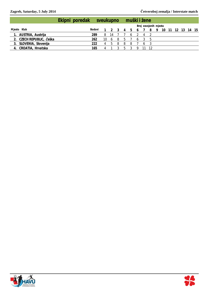|                          | Ekipni poredak sveukupno muški i žene |        |      |              |    |    |     |              |   |                       |    |                |  |  |
|--------------------------|---------------------------------------|--------|------|--------------|----|----|-----|--------------|---|-----------------------|----|----------------|--|--|
|                          |                                       |        |      |              |    |    |     |              |   | Broj osvojenih mjesta |    |                |  |  |
| Mjesto Klub              |                                       | Bodovi |      |              |    |    |     |              |   | 1 2 3 4 5 6 7 8 9     | 10 | 11 12 13 14 15 |  |  |
| 1. AUSTRIA, Austrija     |                                       | 289    | 8 14 |              |    |    | - 6 |              |   |                       |    |                |  |  |
| 2. CZECH REPUBLIC, Češka |                                       | 262    | - 10 | -6           | -8 | b. |     | <sub>0</sub> |   | - 5                   |    |                |  |  |
| 3. SLOVENIA, Slovenija   |                                       | 222.   | 4    | $\mathbf{b}$ | -8 | 8  | -8  |              | 6 |                       |    |                |  |  |
| 4. CROATIA, Hrvatska     |                                       | 165    | 4    |              |    | ь  |     |              |   |                       |    |                |  |  |

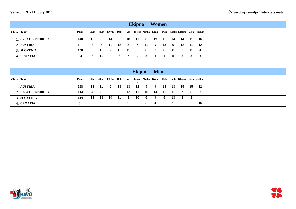|             |                          |        |    |   |    |                   |    | <b>Ekipno</b> |    | Women                                                                       |    |     |    |    |    |  |  |  |  |
|-------------|--------------------------|--------|----|---|----|-------------------|----|---------------|----|-----------------------------------------------------------------------------|----|-----|----|----|----|--|--|--|--|
| Class. Team |                          | Points |    |   |    |                   |    |               |    | 100m 400m 1500m Dalj Vis Trosko Motka Kugla Disk Koplje-Kladivo Gira 4x100m |    |     |    |    |    |  |  |  |  |
|             | <b>1. CZECH REPUBLIC</b> | 148    | 15 | 6 | 14 | -5                | 10 | 11            | 8  | 13                                                                          | 11 | 14  | 14 | 11 | 16 |  |  |  |  |
|             | 2. AUSTRIA               | 131    | -8 | 8 | 11 | $12 \overline{ }$ | 8  |               | 11 | -9                                                                          | 13 | 9   | 12 | 11 | 12 |  |  |  |  |
|             | 3. SLOVENIA              | 108    | 5  |   |    | 11                | 11 | -9            | 8  | 8                                                                           | 8  | 8   |    |    | 4  |  |  |  |  |
|             | 4. CROATIA               | 84     | -8 |   | 4  | 8                 |    | 9             | 8  | 6                                                                           | 4  | . ხ | 3  | 3  | -8 |  |  |  |  |

|             |                   |        |    |    |                                                                             |    |                   | <b>Ekipno</b> Men |    |    |                  |    |    |             |    |  |  |  |  |
|-------------|-------------------|--------|----|----|-----------------------------------------------------------------------------|----|-------------------|-------------------|----|----|------------------|----|----|-------------|----|--|--|--|--|
| Class. Team |                   | Points |    |    | 100m 400m 1500m Dalj Vis Trosko Motka Kugla Disk Koplje-Kladivo Gira 4x100m |    |                   |                   |    |    |                  |    |    |             |    |  |  |  |  |
|             | 1. AUSTRIA        | 158    | 13 | 11 | -9                                                                          | 13 | 13                | 12                | 9  | -9 | 14               | 13 | 15 | 15          | 12 |  |  |  |  |
|             | 2. CZECH REPUBLIC | 114    | 4  | 3  | 9                                                                           |    | $12 \overline{ }$ | 11                | 15 | 14 | 12 <sup>12</sup> | 5  |    | 8           | -8 |  |  |  |  |
|             | 3. SLOVENIA       | 114    | 13 | 13 | 10                                                                          | 11 | 8                 | 10                | 6  | 9  | 5 <sup>5</sup>   | 13 | 8  | 8           |    |  |  |  |  |
|             | 4. CROATIA        | 81     | 6  | 9  | 8                                                                           | 6. | 2                 | 3                 | 6  | 4  | $5^{\circ}$      | 5  |    | $5^{\circ}$ | 16 |  |  |  |  |



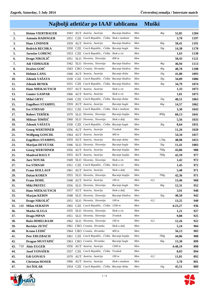### **Najbolji atletičar po IAAF tablicama Muški**

| 1.         | <b>Heimo VIERTBAUER</b>  |      | 1943 AUT Austria, Austrija                   | Bacanje kladiva | Men | 4kg    | 52,85   | 1204 |
|------------|--------------------------|------|----------------------------------------------|-----------------|-----|--------|---------|------|
| 2.         | <b>Antonin HADINGER</b>  | 1951 | CZE Czech Republic, Češka Skok s motkom      |                 | Men |        | 3,70    | 1197 |
| 3.         | <b>Hans LINDNER</b>      | 1959 | AUT Austria, Austrija                        | Bacanje kladiva | Men | 6kg    | 58,41   | 1191 |
| 4.         | <b>Bedrich RECHKA</b>    | 1950 | CZE Czech Republic, Češka Bacanje kugle      |                 | Men | 5kg    | 14,38   | 1170 |
| 5.         | <b>Jaroslav LORENC</b>   | 1953 | CZE Czech Republic, Češka Skok u vis         |                 | Men |        | 1,63    | 1138 |
| 6.         | Drago NIKOLIČ            | 1951 | SLO Slovenia, Slovenija                      | 400 m           | Men |        | 58,43   | 1121 |
| 7.         | <b>Adi VIDMAJER</b>      | 1942 | SLO Slovenia, Slovenija                      | Bacanje kladiva | Men | 4kg    | 46,94   | 1113 |
| 8.         | Dražen GOIĆ              |      | 1943 CRO Croatia, Hrvatska                   | Bacanje kladiva | Men | 4kg    | 48,78   | 1108 |
| 9.         | <b>Helmut LANG</b>       |      | 1940 AUT Austria, Austrija                   | Bacanje diska   | Men | 1kg    | 41,80   | 1093 |
| 10.        | Zdenek VAŠATA            | 1930 | CZE Czech Republic, Češka Bacanje kladiva    |                 | Men | 3kg    | 34,09   | 1086 |
| 11.        | <b>Zdenek BENEK</b>      | 1931 | CZE Czech Republic, Češka Bacanje kladiva    |                 | Men | 3kg    | 34,79   | 1074 |
| 12.        | <b>Hans MIEKAUTSCH</b>   |      | 1937 AUT Austria, Austrija                   | Skok u vis      | Men |        | 1,33    | 1073 |
| 13.        | <b>Gunter GASPAR</b>     |      | 1966 AUT Austria, Austrija                   | Skok u vis      | Men |        | 1,81    | 1073 |
| 14.        | Miloš GRYC               | 1949 | CZE Czech Republic, Češka Bacanje diska      |                 | Men | 1kg    | 48,51   | 1063 |
| 15.        | <b>Engelbert STAMPFL</b> |      | 1959 AUT Austria, Austrija                   | Bacanje kugle   | Men | 6kg    | 14,57   | 1062 |
| 16.        | <b>Ivo STRNAD</b>        | 1951 | CZE Czech Republic, Češka Skok s motkom      |                 | Men |        | 3,30    | 1043 |
| 17.        | Robert TERŠEK            | 1970 | SLO Slovenia, Slovenija                      | Bacanje koplja  | Men | 800g   | 60,13   | 1041 |
| 18.        | Milosav ŠIMŠIČ           | 1960 | SLO Slovenia, Slovenija                      | Skok u dalj     | Men |        | 5,56    | 1033 |
| 19.        | Zdenek VAŠATA            | 1930 | CZE Czech Republic, Češka Bacanje kugle      |                 | Men | 3kg    | 8,64    | 1031 |
| 20.        | <b>Georg WERTHNER</b>    |      | 1956 AUT Austria, Austrija                   | Troskok         | Men |        | 11,26   | 1020 |
| 21.        | <b>Wolfgang GOSCHL</b>   |      | 1964 AUT Austria, Austrija                   | 400 m           | Men |        | 54,34   | 1017 |
| 22.        | <b>Engelbert STAMPFL</b> |      | 1959 AUT Austria, Austrija                   | Bacanje diska   | Men | 1,5kg  | 48,98   | 1013 |
| 23.        | <b>Marijan DEVETAK</b>   | 1946 | SLO Slovenia, Slovenija                      | Bacanje kugle   | Men | 5kg    | 11,41   | 1003 |
| 24.        | <b>Georg WERTHNER</b>    |      | 1956 AUT Austria, Austrija                   | Bacanje koplja  | Men | 700g   | 43,86   | 988  |
| 25.        | <b>Manfred BAULY</b>     |      | 1955 AUT Austria, Austrija                   | Bacanje koplja  | Men | 700g   | 42,59   | 977  |
| 26.        | <b>Jure NOVAK</b>        | 1949 | SLO Slovenia, Slovenija                      | Skok u vis      | Men |        | 1,42    | 972  |
| 27.        | <b>Ivo STRNAD</b>        | 1951 | CZE Czech Republic, Češka Skok u vis         |                 | Men |        | 1,45    | 972  |
| 28.        | <b>Franz HOLLAUF</b>     | 1961 | AUT Austria, Austrija                        | Skok u dalj     | Men |        | 5,48    | 971  |
| 29.        | Dušan KOREN              | 1955 | SLO Slovenia, Slovenija                      | Bacanje koplja  | Men | 700g   | 42,36   | 971  |
| 30.        | <b>Franz HOHL</b>        |      | 1948 AUT Austria, Austrija                   | 100 m           | Men | $-0,2$ | 13,46   | 968  |
| 31.        | <b>Miki PRSTEC</b>       |      | 1956 SLO Slovenia, Slovenija                 | Bacanje kugle   | Men | 6kg    | 12,31   | 952  |
| 32.        | <b>Hans MIEKAUTSCH</b>   |      | 1937 AUT Austria, Austrija                   | Skok u dalj     | Men |        | 3,91    | 948  |
| 33.        | <b>Marjan KERIN</b>      |      | 1948 SLO Slovenia, Slovenija                 | Bacanje kladiva | Men | 5kg    | 40,50   | 942  |
| 34.        | Drago NIKOLIČ            | 1951 | SLO Slovenia, Slovenija                      | 100 m           | Men | $-0,2$ | 13,25   | 940  |
| 248<br>35. | <b>Milan SERAFIN</b>     | 1965 | CZE Czech Republic, Češka                    | 1500 m          | Men |        | 4:23,27 | 936  |
| 36.        | Marko SLUGA              | 1935 | SLO Slovenia, Slovenija                      | Skok u vis      | Men |        | 1,21    | 927  |
| 37.        | <b>Drago PIPAN</b>       | 1951 | SLO Slovenia, Slovenija                      | Troskok         | Men |        | 9,88    | 925  |
| 38.        | <b>Božo HIMELRAJH</b>    |      | 1962 SLO Slovenia, Slovenija                 | 100 m           | Men | $-0,2$ | 12,26   | 922  |
| 39.        | Berislav ZETIĆ           | 1961 | CRO Croatia, Hrvatska                        | Skok u dalj     | Men |        | 5,24    | 904  |
| 40.        | Kruno LEDIĆ              |      | 1964 CRO Croatia, Hrvatska                   | 400 m           | Men |        | 56,13   | 903  |
| 41.        | Petr ERLEBACH            | 1961 | CZE Czech Republic, Češka Bacanje koplja     |                 | Men | 700g   | 44,06   | 900  |
| 42.        | Dragan MUSTAPIĆ          |      | 1963 CRO Croatia, Hrvatska                   | Bacanje kugle   | Men | 6kg    | 13,30   | 899  |
| 43.<br>718 | <b>Alois EGGER</b>       |      | 1956 AUT Austria, Austrija                   | 1500 m          | Men |        | 4:48,19 | 898  |
| 44.        | <b>Josef VONAŠEK</b>     | 1937 | CZE Czech Republic, Češka Troskok            |                 | Men |        | 8,03    | 894  |
| 45.        | <b>Edi GONAUS</b>        |      | 1970 AUT Austria, Austrija                   | 100 m           | Men | $-0,2$ | 11,81   | 892  |
| 46.        | <b>Christian HOSER</b>   |      | 1966 AUT Austria, Austrija                   | Skok s motkom   | Men |        | 3,70    | 891  |
| 47.        | Jiri ŠOLAR               |      | 1954 CZE Czech Republic, Češka Bacanje diska |                 | Men | 1kg    | 45,51   | 889  |



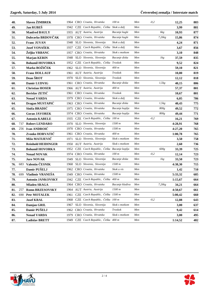| 48. |     | <b>Slaven ŽIMBREK</b>     |      | 1964 CRO Croatia, Hrvatska               | 100 m           | Men | $-0,2$ |        | 12,25   | 883 |
|-----|-----|---------------------------|------|------------------------------------------|-----------------|-----|--------|--------|---------|-----|
| 49. |     | Jan RUBEŠ                 | 1942 | CZE Czech Republic, Češka Skok u dalj    |                 | Men |        |        | 3,99    | 881 |
| 50. |     | <b>Manfred BAULY</b>      |      | 1955 AUT Austria, Austrija               | Bacanje kugle   | Men |        | 6kg    | 10,93   | 877 |
| 51. |     | Dubravko BRDOVČAK         | 1978 | CRO Croatia, Hrvatska                    | Bacanje kugle   | Men |        | 7,26kg | 15,86   | 874 |
| 52. |     | <b>Franc JUVAN</b>        | 1948 | SLO Slovenia, Slovenija                  | Skok u dalj     | Men |        |        | 4,24    | 871 |
| 53. |     | <b>Josef VONAŠEK</b>      | 1937 | CZE Czech Republic, Češka Skok u dalj    |                 | Men |        |        | 3,67    | 856 |
| 54. |     | Željko VRBANC             | 1957 | CRO Croatia, Hrvatska                    | Skok s motkom   | Men |        |        | 3,10    | 848 |
| 55. |     | <b>Marjan KERIN</b>       | 1948 | SLO Slovenia, Slovenija                  | Bacanje diska   | Men |        | 1kg    | 37,59   | 835 |
| 56. |     | <b>Bohumil HOVORKA</b>    | 1952 | CZE Czech Republic, Češka Troskok        |                 | Men |        |        | 9,52    | 824 |
| 57. |     | Marko BOŽIČEK             | 1962 | SLO Slovenia, Slovenija                  | 400 m           | Men |        |        | 59,10   | 821 |
| 58. |     | <b>Franz HOLLAUF</b>      | 1961 | AUT Austria, Austrija                    | Troskok         | Men |        |        | 10,80   | 819 |
| 59. |     | Dean ŠROT                 | 1970 | SLO Slovenia, Slovenija                  | Troskok         | Men |        |        | 12,12   | 818 |
| 60. |     | Damir LUDVIG              | 1961 | CRO Croatia, Hrvatska                    | Bacanje diska   | Men |        | 1,5kg  | 40,15   | 806 |
| 61. |     | <b>Christian HOSER</b>    |      | 1966 AUT Austria, Austrija               | 400 m           | Men |        |        | 57,37   | 801 |
| 62. |     | <b>Berislav ZETIC</b>     | 1961 | CRO Croatia, Hrvatska                    | Troskok         | Men |        |        | 10,67   | 801 |
| 63. |     | <b>Nenad VARDA</b>        | 1979 | CRO Croatia, Hrvatska                    | Skok u dalj     | Men |        |        | 6,05    | 786 |
| 64. |     | Dragan MUSTAPIĆ           | 1963 | CRO Croatia, Hrvatska                    | Bacanje diska   | Men |        | 1,5kg  | 40,43   | 775 |
| 65. |     | Siniša BRADIĆ             | 1975 | CRO Croatia, Hrvatska                    | Bacanje koplja  | Men |        | 800g   | 49,52   | 772 |
| 66. |     | <b>Goran JAVOREK</b>      | 1974 | CRO Croatia, Hrvatska                    | Bacanje koplja  | Men |        | 800g   | 49,44   | 771 |
| 67. |     | <b>Antonin KABELE</b>     | 1935 | CZE Czech Republic, Češka 100 m          |                 | Men | $-0,2$ |        | 16,21   | 769 |
| 68. | 737 | <b>Robert LENDARO</b>     | 1970 | SLO Slovenia, Slovenija                  | 1500 m          | Men |        |        | 4:28,91 | 768 |
| 69. |     | 256 Ivan ANDROIC          | 1970 | CRO Croatia, Hrvatska                    | 1500 m          | Men |        |        | 4:27,20 | 765 |
| 70. |     | Zvonko HORVATIĆ           | 1961 | CRO Croatia, Hrvatska                    | 400 m           | Men |        |        | 1:00,78 | 765 |
| 71. |     | Mišo MATIJEVIČ            | 1971 | SLO Slovenia, Slovenija                  | Skok s motkom   | Men |        |        | 3,50    | 758 |
| 72. |     | <b>Reinhold HEIDINGER</b> | 1950 | AUT Austria, Austrija                    | Skok s motkom   | Men |        |        | 2,60    | 736 |
| 73. |     | <b>Bohumil HOVORKA</b>    | 1952 | CZE Czech Republic, Ceška Bacanje koplja |                 | Men |        | 600g   | 33,39   | 725 |
| 74. |     | <b>Nenad NOVAK</b>        | 1974 | CRO Croatia, Hrvatska                    | 100 m           | Men | $-0,2$ |        | 12,14   | 723 |
| 75. |     | <b>Jure NOVAK</b>         | 1949 | SLO Slovenia, Slovenija                  | Bacanje diska   | Men |        | 1kg    | 33,50   | 723 |
| 76. | 683 | Valentin ČESNIK           | 1968 | SLO Slovenia, Slovenija                  | 1500 m          | Men |        |        | 4:38,30 | 715 |
| 77. |     | Damir PUŠELJ              | 1962 | CRO Croatia, Hrvatska                    | Skok u vis      | Men |        |        | 1,42    | 710 |
| 78. |     | 699 Vladimir VRANEŠA      |      | 1949 CRO Croatia, Hrvatska               | 1500 m          | Men |        |        | 5:33,32 | 685 |
| 79. |     | <b>Antonin JANKOVSKY</b>  |      | 1942 CZE Czech Republic, Češka 400 m     |                 | Men |        |        | 1:15,67 | 664 |
| 80. |     | <b>Mladen SRAGA</b>       |      | 1964 CRO Croatia, Hrvatska               | Bacanje kladiva | Men |        | 7,26kg | 34,21   | 664 |
| 81. | 257 | <b>Romn BRZESOVSKY</b>    |      | 1964 AUT Austria, Austrija               | 1500 m          | Men |        |        | 4:50,67 | 661 |
| 82. | 690 | <b>Petr MOTALEK</b>       | 1961 | CZE Czech Republic, Češka 1500 m         |                 | Men |        |        | 5:00,42 | 660 |
| 83. |     | <b>Josef KRAL</b>         | 1968 | CZE Czech Republic, Češka 100 m          |                 | Men | $-0,2$ |        | 12,88   | 643 |
| 84. |     | Damjan GRIL               | 1967 | SLO Slovenia, Slovenija                  | Skok s motkom   | Men |        |        | 3,00    | 637 |
| 85. |     | Damir PUŠELJ              | 1962 | CRO Croatia, Hrvatska                    | Troskok         | Men |        |        | 9,42    | 614 |
| 86. |     | <b>Nenad VARDA</b>        | 1979 | CRO Croatia, Hrvatska                    | Skok s motkom   | Men |        |        | 3,00    | 495 |
| 87. |     | <b>Ladislav BRETT</b>     |      | 1949 CZE Czech Republic, Češka 400 m     |                 | Men |        |        | 1:14,52 | 482 |

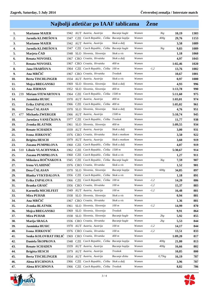## **Najbolji atletičar po IAAF tablicama Žene**

| 1.  |     | <b>Marianne MAIER</b>     |      | 1942 AUT Austria, Austrija               | Bacanje kugle  | Women |        | 3kg    | 10,19   | 1303        |
|-----|-----|---------------------------|------|------------------------------------------|----------------|-------|--------|--------|---------|-------------|
| 2.  |     | Jarmila KLIMEŠOVA         | 1947 | CZE Czech Republic, Češka Bacanje koplja |                | Women |        | 400g   | 29,76   | 1153        |
| 3.  |     | <b>Marianne MAIER</b>     | 1942 | AUT Austria, Austrija                    | Skok u dalj    | Women |        |        | 3,58    | 1089        |
| 4.  |     | Jarmila KLIMEŠOVA         | 1947 | CZE Czech Republic, Češka Bacanje kugle  |                | Women |        | 3kg    | 9,83    | 1089        |
| 5.  |     | Marjeta ČAD               | 1948 | SLO Slovenia, Slovenija                  | Skok u vis     | Women |        |        | 1,18    | <b>1060</b> |
| 6.  |     | <b>Renata NOVOSEL</b>     | 1967 | CRO Croatia, Hrvatska                    | Skok u dalj    | Women |        |        | 4,97    | 1043        |
| 7.  |     | <b>Renata NOVOSEL</b>     | 1967 | CRO Croatia, Hrvatska                    | 400 m          | Women |        |        | 1:02,46 | 1020        |
| 8.  |     | Jana FRABŠOVA             | 1964 | CZE Czech Republic, Češka 100 m          |                | Women | $-1,2$ |        | 13,76   | 1002        |
| 9.  |     | Ana MRČIĆ                 | 1967 | CRO Croatia, Hrvatska                    | Troskok        | Women |        |        | 10,67   | 1001        |
| 10. |     | <b>Berta TISCHLINGER</b>  | 1934 | AUT Austria, Austrija                    | Skok u vis     | Women |        |        | 0,97    | <b>1000</b> |
| 11. |     | Mojca BREGANSKI           | 1969 | SLO Slovenia, Slovenija                  | Skok u dalj    | Women |        |        | 4,93    | 996         |
| 12. |     | Ana JERMAN                | 1952 | SLO Slovenia, Slovenija                  | 400 m          | Women |        |        | 1:13,78 | 990         |
| 13. | 239 | <b>Miriam STEWARTOVA</b>  | 1964 | CZE Czech Republic, Češka 1500 m         |                | Women |        |        | 5:11,60 | 975         |
| 14. |     | Jasminka HUSIC            |      | 1970 AUT Austria, Austrija               | 400 m          | Women |        |        | 1:03,01 | 974         |
| 15. |     | Erika ZAPALOVA            | 1966 | CZE Czech Republic, Češka 400 m          |                | Women |        |        | 1:05,02 | 961         |
| 16. |     | Desa ČALASAN              | 1970 | SLO Slovenia, Slovenija                  | Skok u dalj    | Women |        |        | 4,76    | 951         |
| 17. | 477 | <b>Michaela ZWERGER</b>   |      | 1966 AUT Austria, Austrija               | 1500 m         | Women |        |        | 5:10,74 | 945         |
| 18. |     | Jaroslava VANEČKOVA       | 1977 | CZE Czech Republic, Češka Troskok        |                | Women |        |        | 11,77   | 938         |
| 19. |     | Zvonka BLATNIK            | 1961 | SLO Slovenia, Slovenija                  | 400 m          | Women |        |        | 1:09,55 | 934         |
| 20. |     | <b>Renate SCHADEN</b>     | 1939 | AUT Austria, Austrija                    | Skok u dalj    | Women |        |        | 3,00    | 931         |
| 21. |     | Ivona JERKOVIĆ            |      | 1976 CRO Croatia, Hrvatska               | Skok s motkom  | Women |        |        | 3,50    | 922         |
| 22. |     | <b>Brigitta HESCH</b>     | 1979 | AUT Austria, Austrija                    | Skok s motkom  | Women |        |        | 3,60    | 919         |
| 23. |     | Zuzana PUMPRLOVA          | 1960 | CZE Czech Republic, Češka Skok u dalj    |                | Women |        |        | 4,07    | 919         |
| 24. |     | 510 Libuše VLACHYNSKA     | 1962 | CZE Czech Republic, Češka 1500 m         |                | Women |        |        | 5:30,67 | 914         |
| 25. |     | Zuzana PUMPRLOVA          | 1960 | CZE Czech Republic, Češka Skok u vis     |                | Women |        |        | 1,27    | 911         |
| 26. |     | Miloslava ROČNAKOVA       | 1945 | CZE Czech Republic, Češka Bacanje kugle  |                | Women |        | 3kg    | 7,59    | 907         |
| 27. |     | Irena VLAHINIĆ            | 1976 | CRO Croatia, Hrvatska                    | Skok u vis     | Women |        |        | 1,52    | 901         |
| 28. |     | Desa ČALASAN              | 1970 | SLO Slovenia, Slovenija                  | Bacanje koplja | Women |        | 600g   | 34,85   | 897         |
| 29. |     | <b>Blanka VYKYDALOVA</b>  | 1956 | CZE Czech Republic, Češka Skok u vis     |                | Women |        |        | 1,18    | 891         |
| 30. |     | Erika ZAPALOVA            |      | 1966 CZE Czech Republic, Češka 100 m     |                | Women | $-1,2$ |        | 14,20   | 886         |
| 31. |     | <b>Branka GRAIĆ</b>       |      | 1956 CRO Croatia, Hrvatska               | 100 m          | Women | $-1,2$ |        | 15,37   | 883         |
| 32. |     | <b>Karmella MICHLFEIT</b> |      | 1949 AUT Austria, Austrija               | 100 m          | Women | $-1,2$ |        | 16,48   | 881         |
| 33. |     | <b>Mira PUHAR</b>         | 1938 | SLO Slovenia, Slovenija                  | Skok u vis     | Women |        |        | 0,94    | 881         |
| 34. |     | Ana MRČIĆ                 | 1967 | CRO Croatia, Hrvatska                    | Skok u vis     | Women |        |        | 1,36    | 881         |
| 35. |     | Zvonka BLATNIK            | 1961 | SLO Slovenia, Slovenija                  | 100 m          | Women | $-1,2$ |        | 14,99   | 870         |
| 36. |     | Mojca BREGANSKI           | 1969 | SLO Slovenia, Slovenija                  | Troskok        | Women |        |        | 9,91    | 864         |
| 37. |     | <b>Mira PUHAR</b>         | 1938 | SLO Slovenia, Slovenija                  | Bacanje kugle  | Women |        | 2kg    | 5,92    | 855         |
| 38. |     | Marija SRAGA              |      | 1936 CRO Croatia, Hrvatska               | Bacanje kugle  | Women |        | 2kg    | 5,53    | 844         |
| 39. |     | Jasminka HUSIC            |      | 1970 AUT Austria, Austrija               | 100 m          | Women | $-1,2$ |        | 14,17   | 844         |
| 40. |     | Ivona JERKOVIĆ            |      | 1976 CRO Croatia, Hrvatska               | 100 m          | Women | $-1,2$ |        | 13,51   | 833         |
| 41. |     | Senka KOLOVRAT FRLIĆ      | 1969 | CRO Croatia, Hrvatska                    | 400 m          | Women |        |        | 1:09,20 | 817         |
| 42. |     | Daniela ŠKOPKOVA          | 1948 | CZE Czech Republic, Češka Bacanje koplja |                | Women |        | 400g   | 21,80   | 813         |
| 43. |     | <b>Renate SCHADEN</b>     |      | 1939 AUT Austria, Austrija               | Bacanje koplja | Women |        | 400g   | 16,66   | 802         |
| 44. |     | <b>Brigitta HESCH</b>     | 1979 | AUT Austria, Austrija                    | Troskok        | Women |        |        | 10,85   | 800         |
| 45. |     | <b>Berta TISCHLINGER</b>  | 1934 | AUT Austria, Austrija                    | Bacanje diska  | Women |        | 0,75kg | 16,19   | 787         |
| 46. |     | Alena RYCHNOVA            | 1966 | CZE Czech Republic, Češka Skok u dalj    |                | Women |        |        | 3,96    | 787         |
| 47. |     | Alena RYCHNOVA            |      | 1966 CZE Czech Republic, Češka Troskok   |                | Women |        |        | 8,82    | 786         |